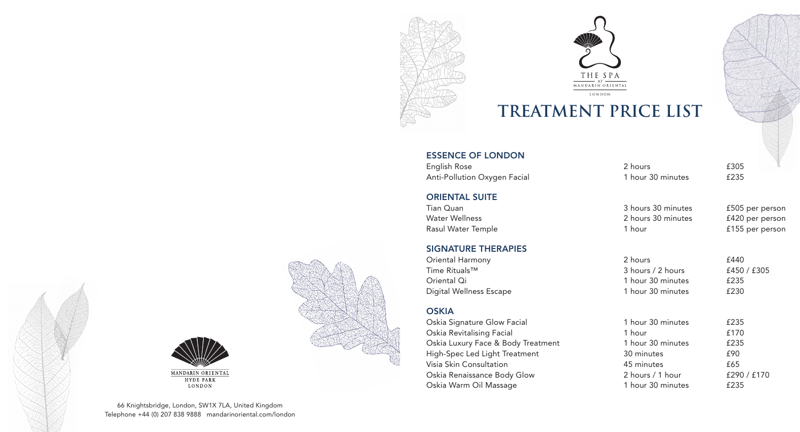



# **TREATMENT PRICE LIST**

## ESSENCE OF LONDON

English Rose 2 hours 2 hours 2 hours 2 hours 2 hours 2 hours 2 hours 2 hours 2 hours 2 hours 2 hours 2 hours 2 hours 2 hours 2 hours 2 hours 2 hours 2 hours 2 hours 2 hours 2 hours 2 hours 2 hours 2 hours 2 hours 2 hours 2 Anti-Pollution Oxygen Facial 1 hour 30 minutes 6235

#### ORIENTAL SUITE

Tian Quan 3 hours 30 minutes £505 per person Water Wellness 2 hours 30 minutes £420 per person Rasul Water Temple 1 **hour** 1 hour 2015 **1 hour** 2015 **E155** per person

## SIGNATURE THERAPIES

Oriental Harmony **2 hours** 2 hours **£440** Time Rituals™ 3 hours / 2 hours 1450 / £305 Oriental Qi 1 hour 30 minutes £235 Digital Wellness Escape 1 hour 30 minutes 1 hour 30 minutes

#### **OSKIA**

Oskia Signature Glow Facial 1 minutes 20 minutes 30 minutes 30 minutes 30 minutes 20 minutes 20 minutes 20 minutes 20 minutes 20 minutes 20 minutes 20 minutes 20 minutes 20 minutes 20 minutes 20 minutes 20 minutes 20 minut Oskia Revitalising Facial 1 hours 2008 1 hours 2008 Oskia Luxury Face & Body Treatment 1 hours 20 High-Spec Led Light Treatment 30 minutes 30 minutes  $30 \text{ m}$ Visia Skin Consultation 45 m Oskia Renaissance Body Glow 2 hours / 1 hour 5290 / £170 Oskia Warm Oil Massage 1 minutes 20 minutes 20 minutes 20 minutes 20 minutes 20 minutes 20 minutes 20 minutes

| our 30 minutes | £235       |
|----------------|------------|
| วur            | £170       |
| our 30 minutes | £235       |
| ninutes        | £90        |
| ninutes        | £65        |
| ours / 1 hour  | £290 / £17 |
| our 30 minutes | £235       |





**HYDE PARK** LONDON

66 Knightsbridge, London, SW1X 7LA, United Kingdom Telephone +44 (0) 207 838 9888 mandarinoriental.com/london